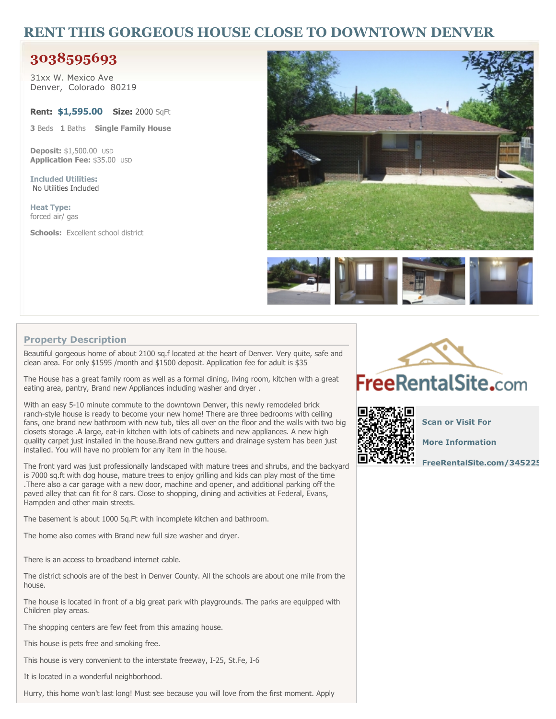## **RENT THIS GORGEOUS HOUSE CLOSE TO DOWNTOWN DENVER**

## **3038595693**

**31xx W. Mexico Ave Denver, Colorado 80219**

**Rent: \$1,595.00 Size: 2000 SqFt**

**3 Beds 1 Baths Single Family House**

**Deposit: \$1,500.00 USD Application Fee: \$35.00 USD**

**Included Utilities: No Utilities Included**

**Heat Type: forced air/ gas**

**Schools: Excellent school district**





## **Property Description**

**Beautiful gorgeous home of about 2100 sq.f located at the heart of Denver. Very quite, safe and clean area. For only \$1595 /month and \$1500 deposit. Application fee for adult is \$35**

The House has a great family room as well as a formal dining, living room, kitchen with a great **eating area, pantry, Brand new Appliances including washer and dryer .**

**With an easy 5-10 minute commute to the downtown Denver, this newly remodeled brick ranch-style house is ready to become your new home! There are three bedrooms with ceiling** fans, one brand new bathroom with new tub, tiles all over on the floor and the walls with two big **closets storage .A large, eat-in kitchen with lots of cabinets and new appliances. A new high quality carpet just installed in the house.Brand new gutters and drainage system has been just installed. You will have no problem for any item in the house.**

**The front yard was just professionally landscaped with mature trees and shrubs, and the backyard** is 7000 sq.ft with dog house, mature trees to enjoy grilling and kids can play most of the time **.There also a car garage with a new door, machine and opener, and additional parking off the paved alley that can fit for 8 cars. Close to shopping, dining and activities at Federal, Evans, Hampden and other main streets.**

**The basement is about 1000 Sq.Ft with incomplete kitchen and bathroom.**

**The home also comes with Brand new full size washer and dryer.**

**There is an access to broadband internet cable.**

The district schools are of the best in Denver County. All the schools are about one mile from the **house.**

**The house is located in front of a big great park with playgrounds. The parks are equipped with Children play areas.**

**The shopping centers are few feet from this amazing house.**

**This house is pets free and smoking free.**

**This house is very convenient to the interstate freeway, I-25, St.Fe, I-6**

**It is located in a wonderful neighborhood.**

**Hurry, this home won't last long! Must see because you will love from the first moment. Apply**





**Scan or Visit For**

**More Information**

**[FreeRentalSite.com/345225](http://www.freerentalsite.com/345225)**